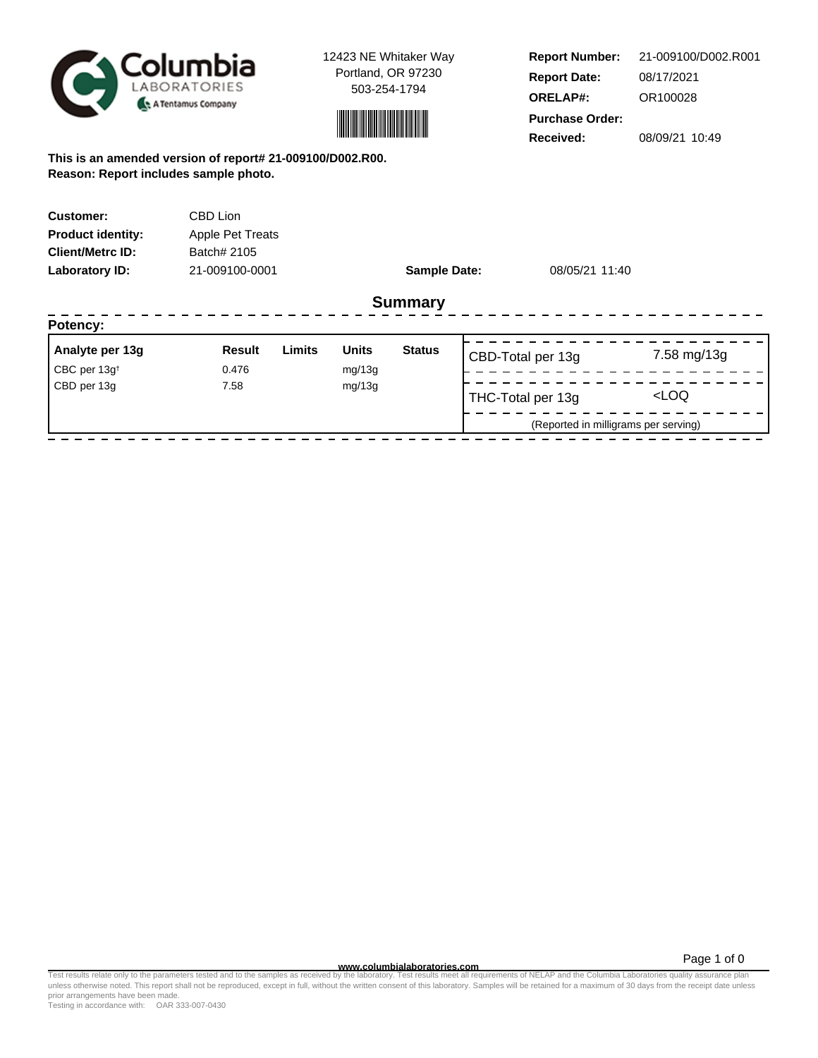

12423 NE Whitaker Way Portland, OR 97230 503-254-1794



**Report Number: Report Date: ORELAP#:** 08/17/2021 OR100028 **Received:** 08/09/21 10:49 **Purchase Order:** 21-009100/D002.R001

**This is an amended version of report# 21-009100/D002.R00. Reason: Report includes sample photo.**

| <b>Customer:</b>         | CBD Lion         |                     |                |  |
|--------------------------|------------------|---------------------|----------------|--|
| <b>Product identity:</b> | Apple Pet Treats |                     |                |  |
| <b>Client/Metrc ID:</b>  | Batch# 2105      |                     |                |  |
| Laboratory ID:           | 21-009100-0001   | <b>Sample Date:</b> | 08/05/21 11:40 |  |
|                          |                  | <b>Summary</b>      |                |  |
| Potency:                 |                  |                     |                |  |
|                          |                  |                     |                |  |

| Analyte per 13g                     | Result | Limits | <b>Units</b> | <b>Status</b> | CBD-Total per 13g                    | 7.58 mg/13g         |
|-------------------------------------|--------|--------|--------------|---------------|--------------------------------------|---------------------|
| $\mathsf{CBC}$ per 13g <sup>t</sup> | 0.476  |        | mg/13g       |               |                                      |                     |
| CBD per 13g                         | 7.58   |        | mg/13g       |               | THC-Total per 13g                    | <loq< td=""></loq<> |
|                                     |        |        |              |               | (Reported in milligrams per serving) |                     |

Page 1 of 0

www.columbialaboratories.com<br>Test results relate only to the parameters tested and to the samples as received by the laboratories metall requirements of NELAP and the Columbia Laboratories quality assurance plan<br>unless oth prior arrangements have been made.